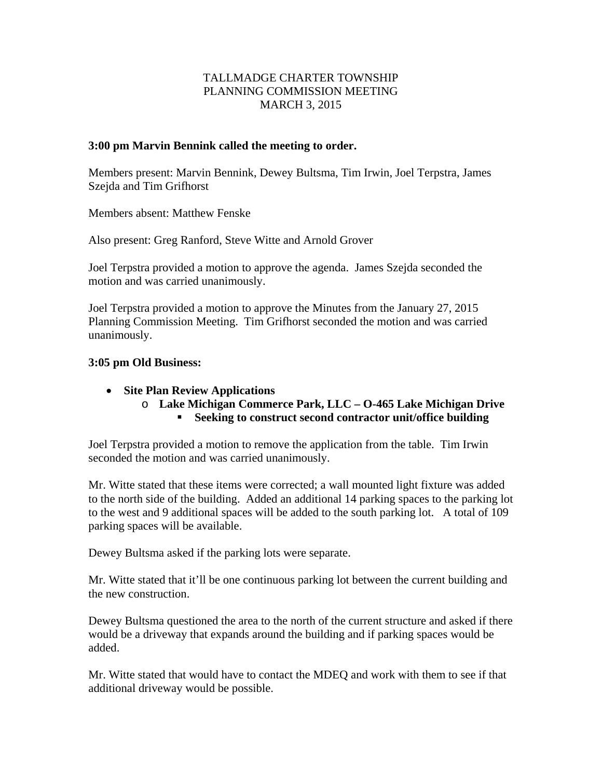## TALLMADGE CHARTER TOWNSHIP PLANNING COMMISSION MEETING MARCH 3, 2015

## **3:00 pm Marvin Bennink called the meeting to order.**

Members present: Marvin Bennink, Dewey Bultsma, Tim Irwin, Joel Terpstra, James Szejda and Tim Grifhorst

Members absent: Matthew Fenske

Also present: Greg Ranford, Steve Witte and Arnold Grover

Joel Terpstra provided a motion to approve the agenda. James Szejda seconded the motion and was carried unanimously.

Joel Terpstra provided a motion to approve the Minutes from the January 27, 2015 Planning Commission Meeting. Tim Grifhorst seconded the motion and was carried unanimously.

## **3:05 pm Old Business:**

- **Site Plan Review Applications** 
	- o **Lake Michigan Commerce Park, LLC O-465 Lake Michigan Drive Seeking to construct second contractor unit/office building**

Joel Terpstra provided a motion to remove the application from the table. Tim Irwin seconded the motion and was carried unanimously.

Mr. Witte stated that these items were corrected; a wall mounted light fixture was added to the north side of the building. Added an additional 14 parking spaces to the parking lot to the west and 9 additional spaces will be added to the south parking lot. A total of 109 parking spaces will be available.

Dewey Bultsma asked if the parking lots were separate.

Mr. Witte stated that it'll be one continuous parking lot between the current building and the new construction.

Dewey Bultsma questioned the area to the north of the current structure and asked if there would be a driveway that expands around the building and if parking spaces would be added.

Mr. Witte stated that would have to contact the MDEQ and work with them to see if that additional driveway would be possible.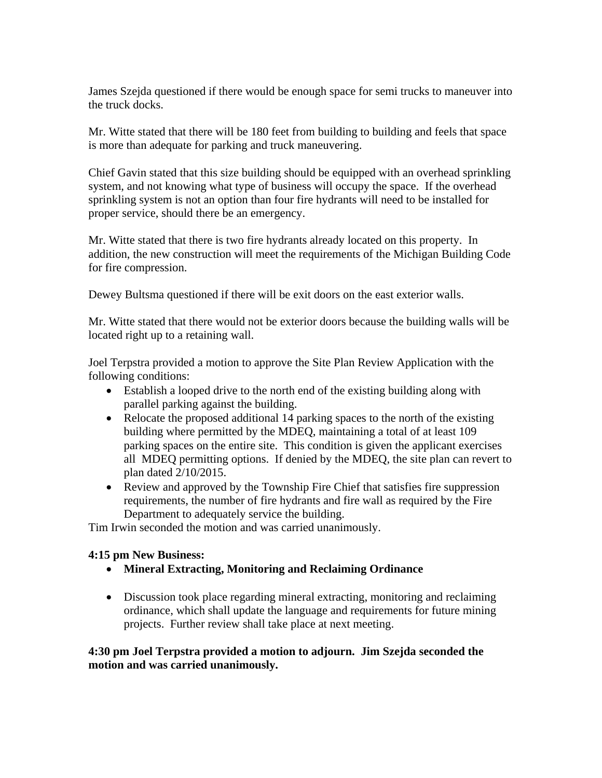James Szejda questioned if there would be enough space for semi trucks to maneuver into the truck docks.

Mr. Witte stated that there will be 180 feet from building to building and feels that space is more than adequate for parking and truck maneuvering.

Chief Gavin stated that this size building should be equipped with an overhead sprinkling system, and not knowing what type of business will occupy the space. If the overhead sprinkling system is not an option than four fire hydrants will need to be installed for proper service, should there be an emergency.

Mr. Witte stated that there is two fire hydrants already located on this property. In addition, the new construction will meet the requirements of the Michigan Building Code for fire compression.

Dewey Bultsma questioned if there will be exit doors on the east exterior walls.

Mr. Witte stated that there would not be exterior doors because the building walls will be located right up to a retaining wall.

Joel Terpstra provided a motion to approve the Site Plan Review Application with the following conditions:

- Establish a looped drive to the north end of the existing building along with parallel parking against the building.
- Relocate the proposed additional 14 parking spaces to the north of the existing building where permitted by the MDEQ, maintaining a total of at least 109 parking spaces on the entire site. This condition is given the applicant exercises all MDEQ permitting options. If denied by the MDEQ, the site plan can revert to plan dated 2/10/2015.
- Review and approved by the Township Fire Chief that satisfies fire suppression requirements, the number of fire hydrants and fire wall as required by the Fire Department to adequately service the building.

Tim Irwin seconded the motion and was carried unanimously.

## **4:15 pm New Business:**

- **Mineral Extracting, Monitoring and Reclaiming Ordinance**
- Discussion took place regarding mineral extracting, monitoring and reclaiming ordinance, which shall update the language and requirements for future mining projects. Further review shall take place at next meeting.

**4:30 pm Joel Terpstra provided a motion to adjourn. Jim Szejda seconded the motion and was carried unanimously.**